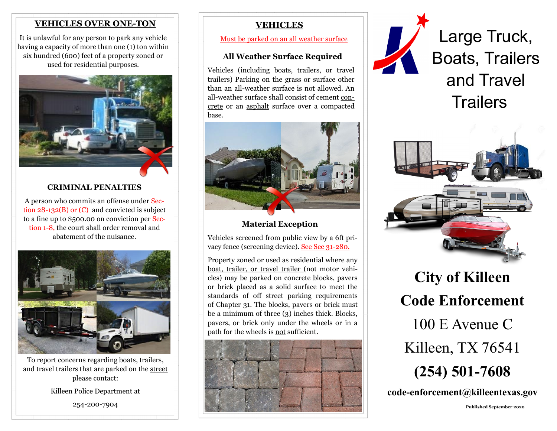# **VEHICLES OVER ONE-TON**

It is unlawful for any person to park any vehicle having a capacity of more than one (1) ton within six hundred (600) feet of a property zoned or used for residential purposes.



# **CRIMINAL PENALTIES**

A person who commits an offense under Section 28-132(B) or (C) and convicted is subject to a fine up to \$500.00 on conviction per Section 1-8, the court shall order removal and abatement of the nuisance.



To report concerns regarding boats, trailers, and travel trailers that are parked on the street please contact:

Killeen Police Department at

254-200-7904

# **VEHICLES**

# **All Weather Surface Required**

Vehicles (including boats, trailers, or travel trailers) Parking on the grass or surface other than an all-weather surface is not allowed. An all-weather surface shall consist of cement concrete or an asphalt surface over a compacted base.



 **Material Exception**

Vehicles screened from public view by a 6ft privacy fence (screening device). See Sec 31-280.

Property zoned or used as residential where any boat, trailer, or travel trailer (not motor vehicles) may be parked on concrete blocks, pavers or brick placed as a solid surface to meet the standards of off street parking requirements of Chapter 31. The blocks, pavers or brick must be a minimum of three (3) inches thick. Blocks, pavers, or brick only under the wheels or in a path for the wheels is not sufficient.





Must be parked on an all weather surface **Large Truck**, Boats, Trailers and Travel **Trailers** 



**City of Killeen Code Enforcement** 100 E Avenue C Killeen, TX 76541 **(254) 501-7608** 

**code-enforcement@killeentexas.gov**